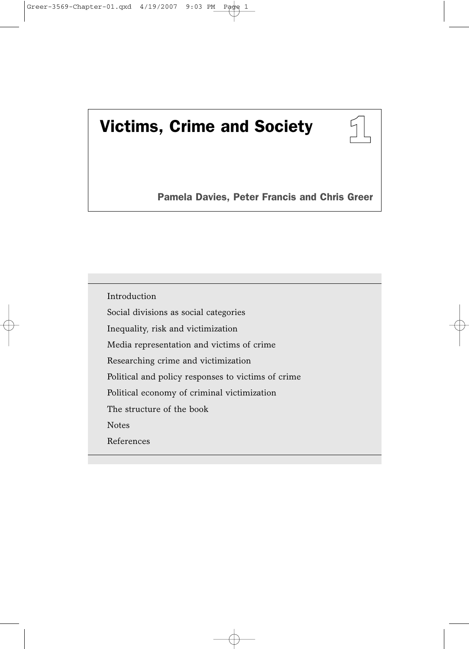# Victims, Crime and Society 1

Pamela Davies, Peter Francis and Chris Greer

Introduction Social divisions as social categories Inequality, risk and victimization Media representation and victims of crime Researching crime and victimization Political and policy responses to victims of crime Political economy of criminal victimization The structure of the book Notes References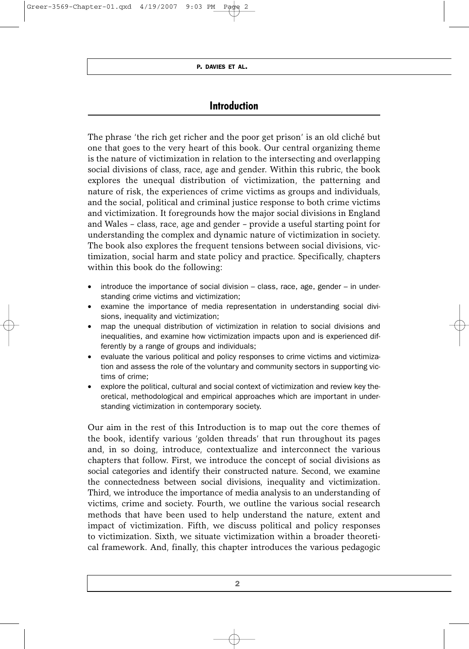# **Introduction**

The phrase 'the rich get richer and the poor get prison' is an old cliché but one that goes to the very heart of this book. Our central organizing theme is the nature of victimization in relation to the intersecting and overlapping social divisions of class, race, age and gender. Within this rubric, the book explores the unequal distribution of victimization, the patterning and nature of risk, the experiences of crime victims as groups and individuals, and the social, political and criminal justice response to both crime victims and victimization. It foregrounds how the major social divisions in England and Wales – class, race, age and gender – provide a useful starting point for understanding the complex and dynamic nature of victimization in society. The book also explores the frequent tensions between social divisions, victimization, social harm and state policy and practice. Specifically, chapters within this book do the following:

- $introduce the importance of social division class, race, age, gender in under$ standing crime victims and victimization;
- examine the importance of media representation in understanding social divisions, inequality and victimization;
- map the unequal distribution of victimization in relation to social divisions and inequalities, and examine how victimization impacts upon and is experienced differently by a range of groups and individuals;
- evaluate the various political and policy responses to crime victims and victimization and assess the role of the voluntary and community sectors in supporting victims of crime;
- explore the political, cultural and social context of victimization and review key theoretical, methodological and empirical approaches which are important in understanding victimization in contemporary society.

Our aim in the rest of this Introduction is to map out the core themes of the book, identify various 'golden threads' that run throughout its pages and, in so doing, introduce, contextualize and interconnect the various chapters that follow. First, we introduce the concept of social divisions as social categories and identify their constructed nature. Second, we examine the connectedness between social divisions, inequality and victimization. Third, we introduce the importance of media analysis to an understanding of victims, crime and society. Fourth, we outline the various social research methods that have been used to help understand the nature, extent and impact of victimization. Fifth, we discuss political and policy responses to victimization. Sixth, we situate victimization within a broader theoretical framework. And, finally, this chapter introduces the various pedagogic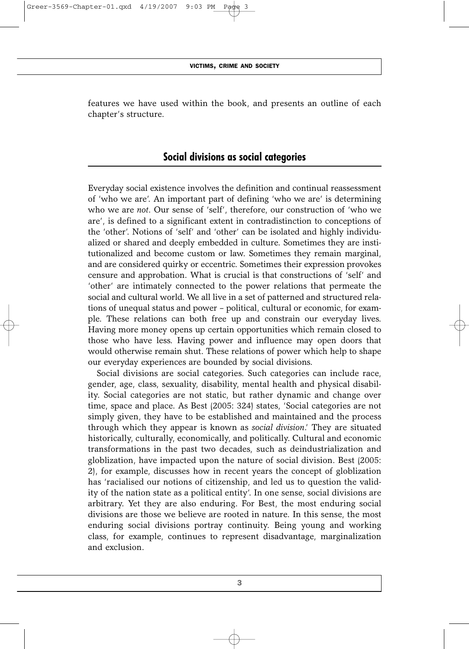VICTIMS, CRIME AND SOCIETY

features we have used within the book, and presents an outline of each chapter's structure.

#### **Social divisions as social categories**

Everyday social existence involves the definition and continual reassessment of 'who we are'. An important part of defining 'who we are' is determining who we are *not*. Our sense of 'self', therefore, our construction of 'who we are', is defined to a significant extent in contradistinction to conceptions of the 'other'. Notions of 'self' and 'other' can be isolated and highly individualized or shared and deeply embedded in culture. Sometimes they are institutionalized and become custom or law. Sometimes they remain marginal, and are considered quirky or eccentric. Sometimes their expression provokes censure and approbation. What is crucial is that constructions of 'self' and 'other' are intimately connected to the power relations that permeate the social and cultural world. We all live in a set of patterned and structured relations of unequal status and power – political, cultural or economic, for example. These relations can both free up and constrain our everyday lives. Having more money opens up certain opportunities which remain closed to those who have less. Having power and influence may open doors that would otherwise remain shut. These relations of power which help to shape our everyday experiences are bounded by social divisions.

Social divisions are social categories. Such categories can include race, gender, age, class, sexuality, disability, mental health and physical disability. Social categories are not static, but rather dynamic and change over time, space and place. As Best (2005: 324) states, 'Social categories are not simply given, they have to be established and maintained and the process through which they appear is known as *social division*.' They are situated historically, culturally, economically, and politically. Cultural and economic transformations in the past two decades, such as deindustrialization and globlization, have impacted upon the nature of social division. Best (2005: 2), for example, discusses how in recent years the concept of globlization has 'racialised our notions of citizenship, and led us to question the validity of the nation state as a political entity'. In one sense, social divisions are arbitrary. Yet they are also enduring. For Best, the most enduring social divisions are those we believe are rooted in nature. In this sense, the most enduring social divisions portray continuity. Being young and working class, for example, continues to represent disadvantage, marginalization and exclusion.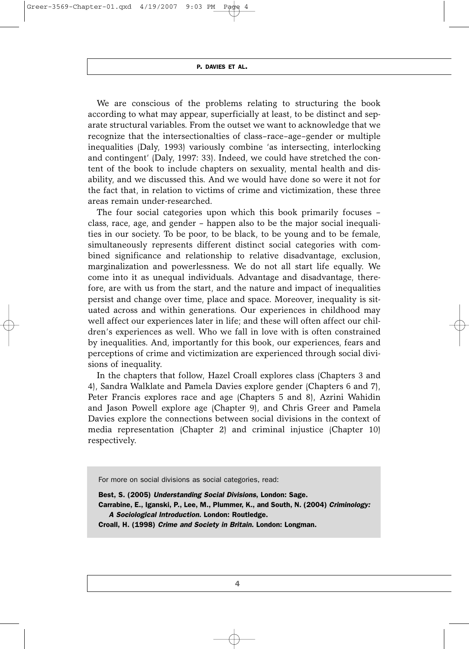We are conscious of the problems relating to structuring the book according to what may appear, superficially at least, to be distinct and separate structural variables. From the outset we want to acknowledge that we recognize that the intersectionalties of class–race–age–gender or multiple inequalities (Daly, 1993) variously combine 'as intersecting, interlocking and contingent' (Daly, 1997: 33). Indeed, we could have stretched the content of the book to include chapters on sexuality, mental health and disability, and we discussed this. And we would have done so were it not for the fact that, in relation to victims of crime and victimization, these three areas remain under-researched.

The four social categories upon which this book primarily focuses – class, race, age, and gender – happen also to be the major social inequalities in our society. To be poor, to be black, to be young and to be female, simultaneously represents different distinct social categories with combined significance and relationship to relative disadvantage, exclusion, marginalization and powerlessness. We do not all start life equally. We come into it as unequal individuals. Advantage and disadvantage, therefore, are with us from the start, and the nature and impact of inequalities persist and change over time, place and space. Moreover, inequality is situated across and within generations. Our experiences in childhood may well affect our experiences later in life; and these will often affect our children's experiences as well. Who we fall in love with is often constrained by inequalities. And, importantly for this book, our experiences, fears and perceptions of crime and victimization are experienced through social divisions of inequality.

In the chapters that follow, Hazel Croall explores class (Chapters 3 and 4), Sandra Walklate and Pamela Davies explore gender (Chapters 6 and 7), Peter Francis explores race and age (Chapters 5 and 8), Azrini Wahidin and Jason Powell explore age (Chapter 9), and Chris Greer and Pamela Davies explore the connections between social divisions in the context of media representation (Chapter 2) and criminal injustice (Chapter 10) respectively.

For more on social divisions as social categories, read:

Best, S. (2005) Understanding Social Divisions, London: Sage. Carrabine, E., Iganski, P., Lee, M., Plummer, K., and South, N. (2004) Criminology: A Sociological Introduction. London: Routledge. Croall, H. (1998) Crime and Society in Britain. London: Longman.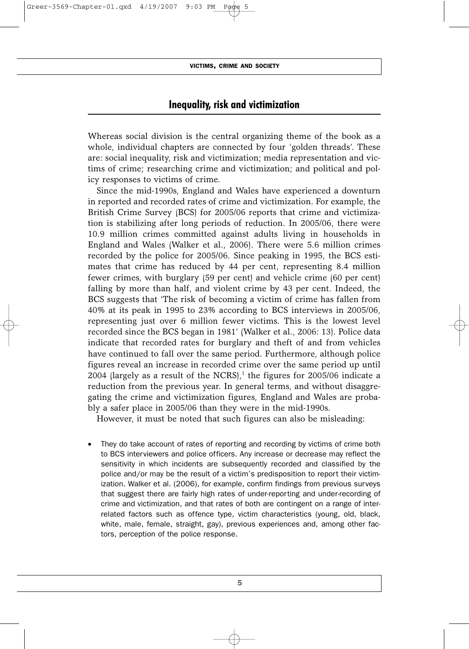VICTIMS, CRIME AND SOCIETY

#### Greer-3569-Chapter-01.qxd 4/19/2007

### **Inequality, risk and victimization**

Whereas social division is the central organizing theme of the book as a whole, individual chapters are connected by four 'golden threads'. These are: social inequality, risk and victimization; media representation and victims of crime; researching crime and victimization; and political and policy responses to victims of crime.

Since the mid-1990s, England and Wales have experienced a downturn in reported and recorded rates of crime and victimization. For example, the British Crime Survey (BCS) for 2005/06 reports that crime and victimization is stabilizing after long periods of reduction. In 2005/06, there were 10.9 million crimes committed against adults living in households in England and Wales (Walker et al., 2006). There were 5.6 million crimes recorded by the police for 2005/06. Since peaking in 1995, the BCS estimates that crime has reduced by 44 per cent, representing 8.4 million fewer crimes, with burglary (59 per cent) and vehicle crime (60 per cent) falling by more than half, and violent crime by 43 per cent. Indeed, the BCS suggests that 'The risk of becoming a victim of crime has fallen from 40% at its peak in 1995 to 23% according to BCS interviews in 2005/06, representing just over 6 million fewer victims. This is the lowest level recorded since the BCS began in 1981' (Walker et al., 2006: 13). Police data indicate that recorded rates for burglary and theft of and from vehicles have continued to fall over the same period. Furthermore, although police figures reveal an increase in recorded crime over the same period up until 2004 (largely as a result of the NCRS),<sup>1</sup> the figures for 2005/06 indicate a reduction from the previous year. In general terms, and without disaggregating the crime and victimization figures, England and Wales are probably a safer place in 2005/06 than they were in the mid-1990s.

However, it must be noted that such figures can also be misleading:

They do take account of rates of reporting and recording by victims of crime both to BCS interviewers and police officers. Any increase or decrease may reflect the sensitivity in which incidents are subsequently recorded and classified by the police and/or may be the result of a victim's predisposition to report their victimization. Walker et al. (2006), for example, confirm findings from previous surveys that suggest there are fairly high rates of under-reporting and under-recording of crime and victimization, and that rates of both are contingent on a range of interrelated factors such as offence type, victim characteristics (young, old, black, white, male, female, straight, gay), previous experiences and, among other factors, perception of the police response.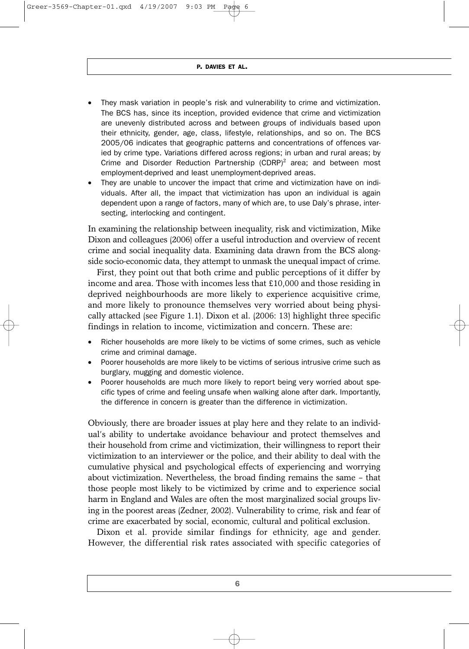- They mask variation in people's risk and vulnerability to crime and victimization. The BCS has, since its inception, provided evidence that crime and victimization are unevenly distributed across and between groups of individuals based upon their ethnicity, gender, age, class, lifestyle, relationships, and so on. The BCS 2005/06 indicates that geographic patterns and concentrations of offences varied by crime type. Variations differed across regions; in urban and rural areas; by Crime and Disorder Reduction Partnership  $(CDRP)^2$  area; and between most employment-deprived and least unemployment-deprived areas.
- They are unable to uncover the impact that crime and victimization have on individuals. After all, the impact that victimization has upon an individual is again dependent upon a range of factors, many of which are, to use Daly's phrase, intersecting, interlocking and contingent.

In examining the relationship between inequality, risk and victimization, Mike Dixon and colleagues (2006) offer a useful introduction and overview of recent crime and social inequality data. Examining data drawn from the BCS alongside socio-economic data, they attempt to unmask the unequal impact of crime.

First, they point out that both crime and public perceptions of it differ by income and area. Those with incomes less that £10,000 and those residing in deprived neighbourhoods are more likely to experience acquisitive crime, and more likely to pronounce themselves very worried about being physically attacked (see Figure 1.1). Dixon et al. (2006: 13) highlight three specific findings in relation to income, victimization and concern. These are:

- Richer households are more likely to be victims of some crimes, such as vehicle crime and criminal damage.
- Poorer households are more likely to be victims of serious intrusive crime such as burglary, mugging and domestic violence.
- Poorer households are much more likely to report being very worried about specific types of crime and feeling unsafe when walking alone after dark. Importantly, the difference in concern is greater than the difference in victimization.

Obviously, there are broader issues at play here and they relate to an individual's ability to undertake avoidance behaviour and protect themselves and their household from crime and victimization, their willingness to report their victimization to an interviewer or the police, and their ability to deal with the cumulative physical and psychological effects of experiencing and worrying about victimization. Nevertheless, the broad finding remains the same – that those people most likely to be victimized by crime and to experience social harm in England and Wales are often the most marginalized social groups living in the poorest areas (Zedner, 2002). Vulnerability to crime, risk and fear of crime are exacerbated by social, economic, cultural and political exclusion.

Dixon et al. provide similar findings for ethnicity, age and gender. However, the differential risk rates associated with specific categories of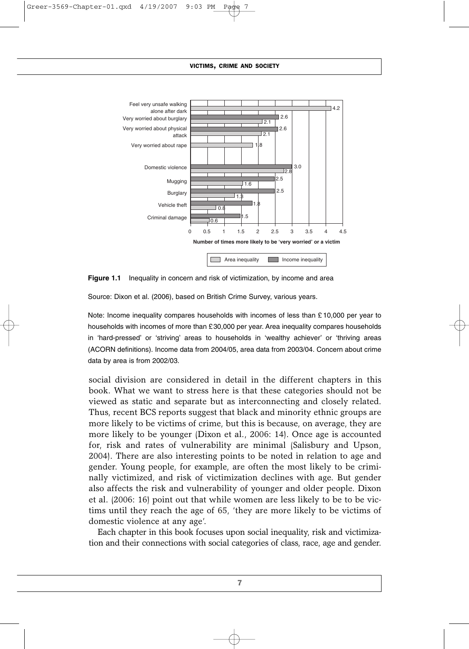



**Figure 1.1** Inequality in concern and risk of victimization, by income and area

Source: Dixon et al. (2006), based on British Crime Survey, various years.

Note: Income inequality compares households with incomes of less than  $£ 10,000$  per year to households with incomes of more than £30,000 per year. Area inequality compares households in 'hard-pressed' or 'striving' areas to households in 'wealthy achiever' or 'thriving areas (ACORN definitions). Income data from 2004/05, area data from 2003/04. Concern about crime data by area is from 2002/03.

social division are considered in detail in the different chapters in this book. What we want to stress here is that these categories should not be viewed as static and separate but as interconnecting and closely related. Thus, recent BCS reports suggest that black and minority ethnic groups are more likely to be victims of crime, but this is because, on average, they are more likely to be younger (Dixon et al., 2006: 14). Once age is accounted for, risk and rates of vulnerability are minimal (Salisbury and Upson, 2004). There are also interesting points to be noted in relation to age and gender. Young people, for example, are often the most likely to be criminally victimized, and risk of victimization declines with age. But gender also affects the risk and vulnerability of younger and older people. Dixon et al. (2006: 16) point out that while women are less likely to be to be victims until they reach the age of 65, 'they are more likely to be victims of domestic violence at any age'.

Each chapter in this book focuses upon social inequality, risk and victimization and their connections with social categories of class, race, age and gender.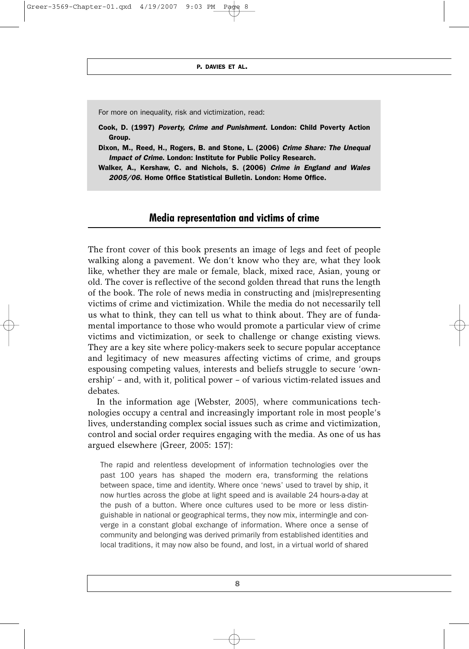For more on inequality, risk and victimization, read:

- Cook, D. (1997) Poverty, Crime and Punishment. London: Child Poverty Action Group.
- Dixon, M., Reed, H., Rogers, B. and Stone, L. (2006) Crime Share: The Unequal Impact of Crime. London: Institute for Public Policy Research.

Walker, A., Kershaw, C. and Nichols, S. (2006) Crime in England and Wales 2005/06. Home Office Statistical Bulletin. London: Home Office.

#### **Media representation and victims of crime**

The front cover of this book presents an image of legs and feet of people walking along a pavement. We don't know who they are, what they look like, whether they are male or female, black, mixed race, Asian, young or old. The cover is reflective of the second golden thread that runs the length of the book. The role of news media in constructing and (mis)representing victims of crime and victimization. While the media do not necessarily tell us what to think, they can tell us what to think about. They are of fundamental importance to those who would promote a particular view of crime victims and victimization, or seek to challenge or change existing views. They are a key site where policy-makers seek to secure popular acceptance and legitimacy of new measures affecting victims of crime, and groups espousing competing values, interests and beliefs struggle to secure 'ownership' – and, with it, political power – of various victim-related issues and debates.

In the information age (Webster, 2005), where communications technologies occupy a central and increasingly important role in most people's lives, understanding complex social issues such as crime and victimization, control and social order requires engaging with the media. As one of us has argued elsewhere (Greer, 2005: 157):

The rapid and relentless development of information technologies over the past 100 years has shaped the modern era, transforming the relations between space, time and identity. Where once 'news' used to travel by ship, it now hurtles across the globe at light speed and is available 24 hours-a-day at the push of a button. Where once cultures used to be more or less distinguishable in national or geographical terms, they now mix, intermingle and converge in a constant global exchange of information. Where once a sense of community and belonging was derived primarily from established identities and local traditions, it may now also be found, and lost, in a virtual world of shared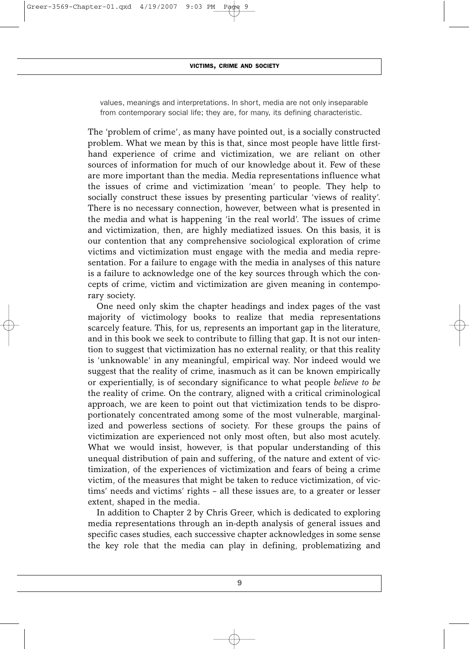values, meanings and interpretations. In short, media are not only inseparable from contemporary social life; they are, for many, its defining characteristic.

The 'problem of crime', as many have pointed out, is a socially constructed problem. What we mean by this is that, since most people have little firsthand experience of crime and victimization, we are reliant on other sources of information for much of our knowledge about it. Few of these are more important than the media. Media representations influence what the issues of crime and victimization 'mean' to people. They help to socially construct these issues by presenting particular 'views of reality'. There is no necessary connection, however, between what is presented in the media and what is happening 'in the real world'. The issues of crime and victimization, then, are highly mediatized issues. On this basis, it is our contention that any comprehensive sociological exploration of crime victims and victimization must engage with the media and media representation. For a failure to engage with the media in analyses of this nature is a failure to acknowledge one of the key sources through which the concepts of crime, victim and victimization are given meaning in contemporary society.

One need only skim the chapter headings and index pages of the vast majority of victimology books to realize that media representations scarcely feature. This, for us, represents an important gap in the literature, and in this book we seek to contribute to filling that gap. It is not our intention to suggest that victimization has no external reality, or that this reality is 'unknowable' in any meaningful, empirical way. Nor indeed would we suggest that the reality of crime, inasmuch as it can be known empirically or experientially, is of secondary significance to what people *believe to be* the reality of crime. On the contrary, aligned with a critical criminological approach, we are keen to point out that victimization tends to be disproportionately concentrated among some of the most vulnerable, marginalized and powerless sections of society. For these groups the pains of victimization are experienced not only most often, but also most acutely. What we would insist, however, is that popular understanding of this unequal distribution of pain and suffering, of the nature and extent of victimization, of the experiences of victimization and fears of being a crime victim, of the measures that might be taken to reduce victimization, of victims' needs and victims' rights – all these issues are, to a greater or lesser extent, shaped in the media.

In addition to Chapter 2 by Chris Greer, which is dedicated to exploring media representations through an in-depth analysis of general issues and specific cases studies, each successive chapter acknowledges in some sense the key role that the media can play in defining, problematizing and

9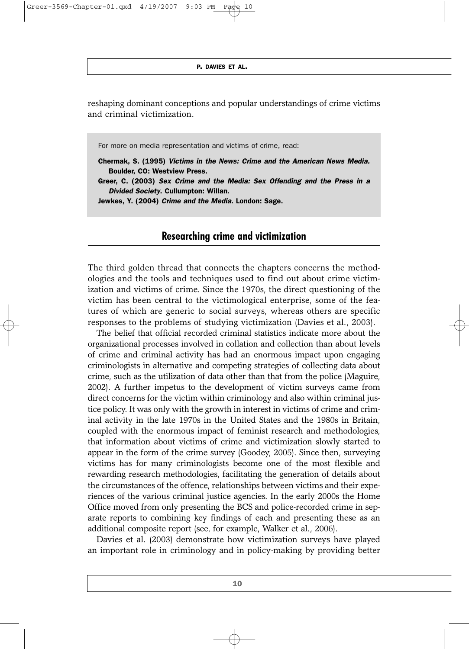reshaping dominant conceptions and popular understandings of crime victims and criminal victimization.

For more on media representation and victims of crime, read:

- Chermak, S. (1995) Victims in the News: Crime and the American News Media. Boulder, CO: Westview Press.
- Greer, C. (2003) Sex Crime and the Media: Sex Offending and the Press in a Divided Society. Cullumpton: Willan.

Jewkes, Y. (2004) Crime and the Media. London: Sage.

#### **Researching crime and victimization**

The third golden thread that connects the chapters concerns the methodologies and the tools and techniques used to find out about crime victimization and victims of crime. Since the 1970s, the direct questioning of the victim has been central to the victimological enterprise, some of the features of which are generic to social surveys, whereas others are specific responses to the problems of studying victimization (Davies et al., 2003).

The belief that official recorded criminal statistics indicate more about the organizational processes involved in collation and collection than about levels of crime and criminal activity has had an enormous impact upon engaging criminologists in alternative and competing strategies of collecting data about crime, such as the utilization of data other than that from the police (Maguire, 2002). A further impetus to the development of victim surveys came from direct concerns for the victim within criminology and also within criminal justice policy. It was only with the growth in interest in victims of crime and criminal activity in the late 1970s in the United States and the 1980s in Britain, coupled with the enormous impact of feminist research and methodologies, that information about victims of crime and victimization slowly started to appear in the form of the crime survey (Goodey, 2005). Since then, surveying victims has for many criminologists become one of the most flexible and rewarding research methodologies, facilitating the generation of details about the circumstances of the offence, relationships between victims and their experiences of the various criminal justice agencies. In the early 2000s the Home Office moved from only presenting the BCS and police-recorded crime in separate reports to combining key findings of each and presenting these as an additional composite report (see, for example, Walker et al., 2006).

Davies et al. (2003) demonstrate how victimization surveys have played an important role in criminology and in policy-making by providing better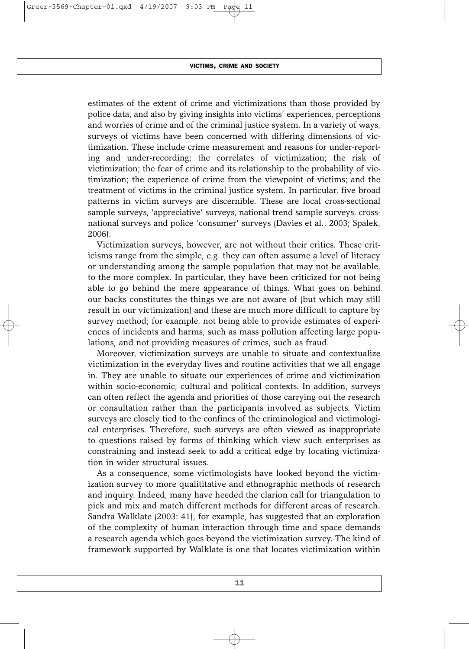estimates of the extent of crime and victimizations than those provided by police data, and also by giving insights into victims' experiences, perceptions and worries of crime and of the criminal justice system. In a variety of ways, surveys of victims have been concerned with differing dimensions of victimization. These include crime measurement and reasons for under-reporting and under-recording; the correlates of victimization; the risk of victimization; the fear of crime and its relationship to the probability of victimization; the experience of crime from the viewpoint of victims; and the treatment of victims in the criminal justice system. In particular, five broad patterns in victim surveys are discernible. These are local cross-sectional sample surveys, 'appreciative' surveys, national trend sample surveys, crossnational surveys and police 'consumer' surveys (Davies et al., 2003; Spalek, 2006).

Victimization surveys, however, are not without their critics. These criticisms range from the simple, e.g. they can often assume a level of literacy or understanding among the sample population that may not be available, to the more complex. In particular, they have been criticized for not being able to go behind the mere appearance of things. What goes on behind our backs constitutes the things we are not aware of (but which may still result in our victimization) and these are much more difficult to capture by survey method; for example, not being able to provide estimates of experiences of incidents and harms, such as mass pollution affecting large populations, and not providing measures of crimes, such as fraud.

Moreover, victimization surveys are unable to situate and contextualize victimization in the everyday lives and routine activities that we all engage in. They are unable to situate our experiences of crime and victimization within socio-economic, cultural and political contexts. In addition, surveys can often reflect the agenda and priorities of those carrying out the research or consultation rather than the participants involved as subjects. Victim surveys are closely tied to the confines of the criminological and victimological enterprises. Therefore, such surveys are often viewed as inappropriate to questions raised by forms of thinking which view such enterprises as constraining and instead seek to add a critical edge by locating victimization in wider structural issues.

As a consequence, some victimologists have looked beyond the victimization survey to more qualititative and ethnographic methods of research and inquiry. Indeed, many have heeded the clarion call for triangulation to pick and mix and match different methods for different areas of research. Sandra Walklate (2003: 41), for example, has suggested that an exploration of the complexity of human interaction through time and space demands a research agenda which goes beyond the victimization survey. The kind of framework supported by Walklate is one that locates victimization within

11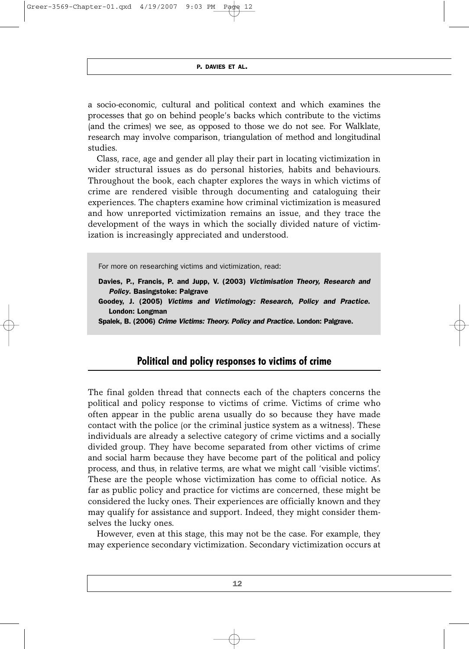a socio-economic, cultural and political context and which examines the processes that go on behind people's backs which contribute to the victims (and the crimes) we see, as opposed to those we do not see. For Walklate, research may involve comparison, triangulation of method and longitudinal studies.

Class, race, age and gender all play their part in locating victimization in wider structural issues as do personal histories, habits and behaviours. Throughout the book, each chapter explores the ways in which victims of crime are rendered visible through documenting and cataloguing their experiences. The chapters examine how criminal victimization is measured and how unreported victimization remains an issue, and they trace the development of the ways in which the socially divided nature of victimization is increasingly appreciated and understood.

For more on researching victims and victimization, read:

Davies, P., Francis, P. and Jupp, V. (2003) Victimisation Theory, Research and Policy. Basingstoke: Palgrave

Goodey, J. (2005) Victims and Victimology: Research, Policy and Practice. London: Longman

Spalek, B. (2006) Crime Victims: Theory. Policy and Practice. London: Palgrave.

## **Political and policy responses to victims of crime**

The final golden thread that connects each of the chapters concerns the political and policy response to victims of crime. Victims of crime who often appear in the public arena usually do so because they have made contact with the police (or the criminal justice system as a witness). These individuals are already a selective category of crime victims and a socially divided group. They have become separated from other victims of crime and social harm because they have become part of the political and policy process, and thus, in relative terms, are what we might call 'visible victims'. These are the people whose victimization has come to official notice. As far as public policy and practice for victims are concerned, these might be considered the lucky ones. Their experiences are officially known and they may qualify for assistance and support. Indeed, they might consider themselves the lucky ones.

However, even at this stage, this may not be the case. For example, they may experience secondary victimization. Secondary victimization occurs at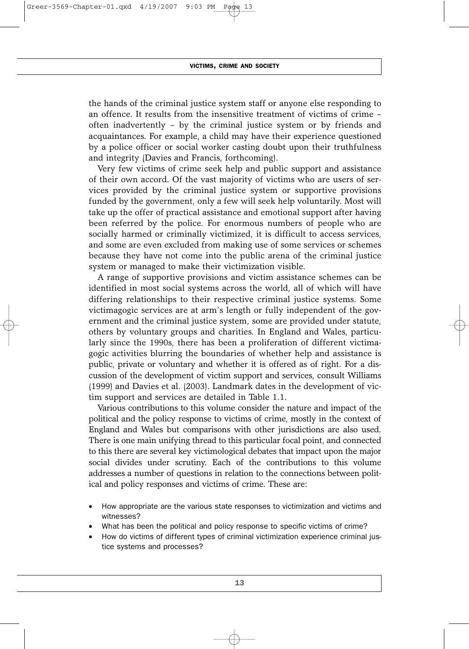the hands of the criminal justice system staff or anyone else responding to an offence. It results from the insensitive treatment of victims of crime – often inadvertently – by the criminal justice system or by friends and acquaintances. For example, a child may have their experience questioned by a police officer or social worker casting doubt upon their truthfulness and integrity (Davies and Francis, forthcoming).

Very few victims of crime seek help and public support and assistance of their own accord. Of the vast majority of victims who are users of services provided by the criminal justice system or supportive provisions funded by the government, only a few will seek help voluntarily. Most will take up the offer of practical assistance and emotional support after having been referred by the police. For enormous numbers of people who are socially harmed or criminally victimized, it is difficult to access services, and some are even excluded from making use of some services or schemes because they have not come into the public arena of the criminal justice system or managed to make their victimization visible.

A range of supportive provisions and victim assistance schemes can be identified in most social systems across the world, all of which will have differing relationships to their respective criminal justice systems. Some victimagogic services are at arm's length or fully independent of the government and the criminal justice system, some are provided under statute, others by voluntary groups and charities. In England and Wales, particularly since the 1990s, there has been a proliferation of different victimagogic activities blurring the boundaries of whether help and assistance is public, private or voluntary and whether it is offered as of right. For a discussion of the development of victim support and services, consult Williams (1999) and Davies et al. (2003). Landmark dates in the development of victim support and services are detailed in Table 1.1.

Various contributions to this volume consider the nature and impact of the political and the policy response to victims of crime, mostly in the context of England and Wales but comparisons with other jurisdictions are also used. There is one main unifying thread to this particular focal point, and connected to this there are several key victimological debates that impact upon the major social divides under scrutiny. Each of the contributions to this volume addresses a number of questions in relation to the connections between political and policy responses and victims of crime. These are:

- How appropriate are the various state responses to victimization and victims and witnesses?
- What has been the political and policy response to specific victims of crime?
- How do victims of different types of criminal victimization experience criminal justice systems and processes?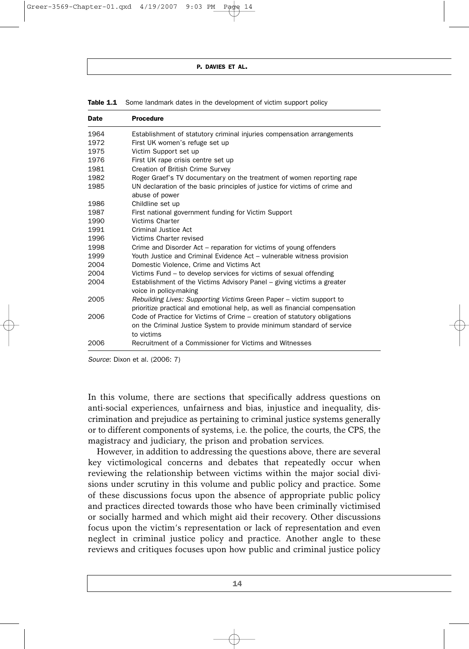| Date | <b>Procedure</b>                                                                                                                                                 |
|------|------------------------------------------------------------------------------------------------------------------------------------------------------------------|
| 1964 | Establishment of statutory criminal injuries compensation arrangements                                                                                           |
| 1972 | First UK women's refuge set up                                                                                                                                   |
| 1975 | Victim Support set up                                                                                                                                            |
| 1976 | First UK rape crisis centre set up                                                                                                                               |
| 1981 | Creation of British Crime Survey                                                                                                                                 |
| 1982 | Roger Graef's TV documentary on the treatment of women reporting rape                                                                                            |
| 1985 | UN declaration of the basic principles of justice for victims of crime and<br>abuse of power                                                                     |
| 1986 | Childline set up                                                                                                                                                 |
| 1987 | First national government funding for Victim Support                                                                                                             |
| 1990 | <b>Victims Charter</b>                                                                                                                                           |
| 1991 | Criminal Justice Act                                                                                                                                             |
| 1996 | Victims Charter revised                                                                                                                                          |
| 1998 | Crime and Disorder Act – reparation for victims of young offenders                                                                                               |
| 1999 | Youth Justice and Criminal Evidence Act - vulnerable witness provision                                                                                           |
| 2004 | Domestic Violence, Crime and Victims Act                                                                                                                         |
| 2004 | Victims Fund – to develop services for victims of sexual offending                                                                                               |
| 2004 | Establishment of the Victims Advisory Panel – giving victims a greater<br>voice in policy-making                                                                 |
| 2005 | Rebuilding Lives: Supporting Victims Green Paper - victim support to                                                                                             |
|      | prioritize practical and emotional help, as well as financial compensation                                                                                       |
| 2006 | Code of Practice for Victims of Crime – creation of statutory obligations<br>on the Criminal Justice System to provide minimum standard of service<br>to victims |
| 2006 | Recruitment of a Commissioner for Victims and Witnesses                                                                                                          |

Table 1.1 Some landmark dates in the development of victim support policy

Source: Dixon et al. (2006: 7)

In this volume, there are sections that specifically address questions on anti-social experiences, unfairness and bias, injustice and inequality, discrimination and prejudice as pertaining to criminal justice systems generally or to different components of systems, i.e. the police, the courts, the CPS, the magistracy and judiciary, the prison and probation services.

However, in addition to addressing the questions above, there are several key victimological concerns and debates that repeatedly occur when reviewing the relationship between victims within the major social divisions under scrutiny in this volume and public policy and practice. Some of these discussions focus upon the absence of appropriate public policy and practices directed towards those who have been criminally victimised or socially harmed and which might aid their recovery. Other discussions focus upon the victim's representation or lack of representation and even neglect in criminal justice policy and practice. Another angle to these reviews and critiques focuses upon how public and criminal justice policy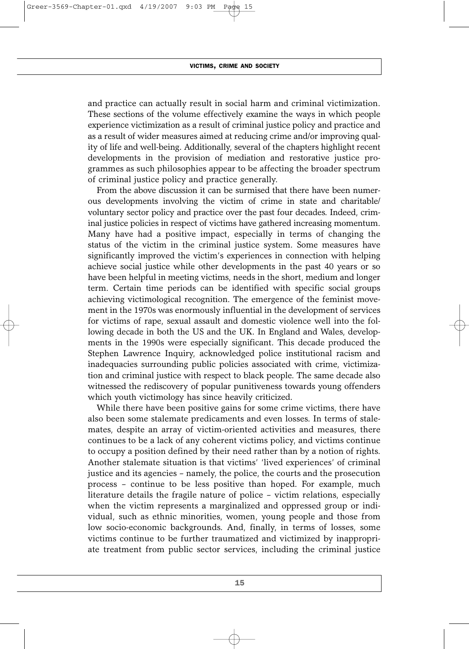and practice can actually result in social harm and criminal victimization. These sections of the volume effectively examine the ways in which people experience victimization as a result of criminal justice policy and practice and as a result of wider measures aimed at reducing crime and/or improving quality of life and well-being. Additionally, several of the chapters highlight recent developments in the provision of mediation and restorative justice programmes as such philosophies appear to be affecting the broader spectrum of criminal justice policy and practice generally.

From the above discussion it can be surmised that there have been numerous developments involving the victim of crime in state and charitable/ voluntary sector policy and practice over the past four decades. Indeed, criminal justice policies in respect of victims have gathered increasing momentum. Many have had a positive impact, especially in terms of changing the status of the victim in the criminal justice system. Some measures have significantly improved the victim's experiences in connection with helping achieve social justice while other developments in the past 40 years or so have been helpful in meeting victims, needs in the short, medium and longer term. Certain time periods can be identified with specific social groups achieving victimological recognition. The emergence of the feminist movement in the 1970s was enormously influential in the development of services for victims of rape, sexual assault and domestic violence well into the following decade in both the US and the UK. In England and Wales, developments in the 1990s were especially significant. This decade produced the Stephen Lawrence Inquiry, acknowledged police institutional racism and inadequacies surrounding public policies associated with crime, victimization and criminal justice with respect to black people. The same decade also witnessed the rediscovery of popular punitiveness towards young offenders which youth victimology has since heavily criticized.

While there have been positive gains for some crime victims, there have also been some stalemate predicaments and even losses. In terms of stalemates, despite an array of victim-oriented activities and measures, there continues to be a lack of any coherent victims policy, and victims continue to occupy a position defined by their need rather than by a notion of rights. Another stalemate situation is that victims' 'lived experiences' of criminal justice and its agencies – namely, the police, the courts and the prosecution process – continue to be less positive than hoped. For example, much literature details the fragile nature of police – victim relations, especially when the victim represents a marginalized and oppressed group or individual, such as ethnic minorities, women, young people and those from low socio-economic backgrounds. And, finally, in terms of losses, some victims continue to be further traumatized and victimized by inappropriate treatment from public sector services, including the criminal justice

15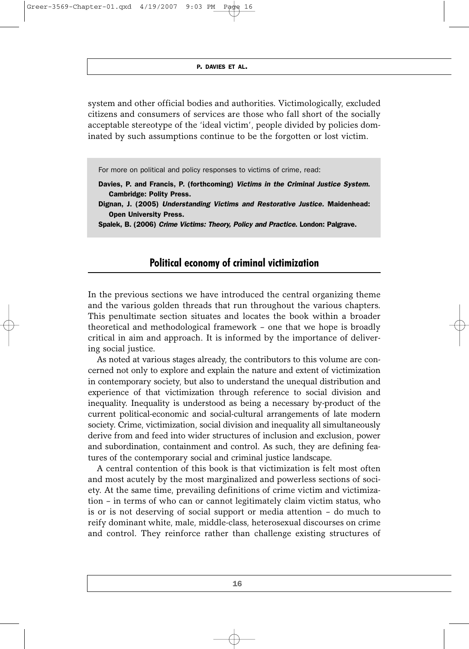system and other official bodies and authorities. Victimologically, excluded citizens and consumers of services are those who fall short of the socially acceptable stereotype of the 'ideal victim', people divided by policies dominated by such assumptions continue to be the forgotten or lost victim.

For more on political and policy responses to victims of crime, read:

- Davies, P. and Francis, P. (forthcoming) Victims in the Criminal Justice System. Cambridge: Polity Press.
- Dignan, J. (2005) Understanding Victims and Restorative Justice. Maidenhead: Open University Press.
- Spalek, B. (2006) Crime Victims: Theory, Policy and Practice. London: Palgrave.

#### **Political economy of criminal victimization**

In the previous sections we have introduced the central organizing theme and the various golden threads that run throughout the various chapters. This penultimate section situates and locates the book within a broader theoretical and methodological framework – one that we hope is broadly critical in aim and approach. It is informed by the importance of delivering social justice.

As noted at various stages already, the contributors to this volume are concerned not only to explore and explain the nature and extent of victimization in contemporary society, but also to understand the unequal distribution and experience of that victimization through reference to social division and inequality. Inequality is understood as being a necessary by-product of the current political-economic and social-cultural arrangements of late modern society. Crime, victimization, social division and inequality all simultaneously derive from and feed into wider structures of inclusion and exclusion, power and subordination, containment and control. As such, they are defining features of the contemporary social and criminal justice landscape.

A central contention of this book is that victimization is felt most often and most acutely by the most marginalized and powerless sections of society. At the same time, prevailing definitions of crime victim and victimization – in terms of who can or cannot legitimately claim victim status, who is or is not deserving of social support or media attention – do much to reify dominant white, male, middle-class, heterosexual discourses on crime and control. They reinforce rather than challenge existing structures of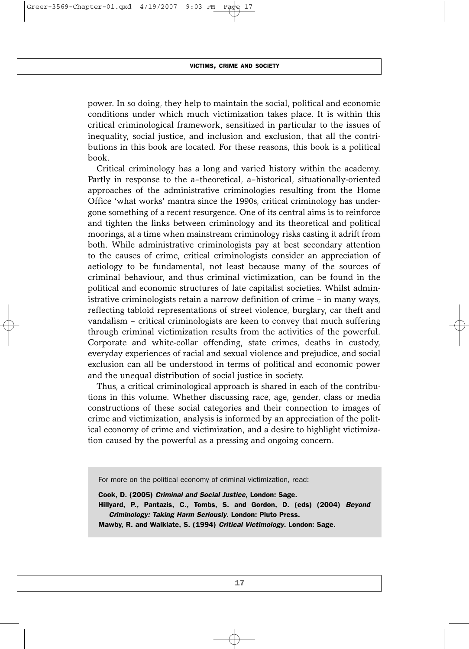power. In so doing, they help to maintain the social, political and economic conditions under which much victimization takes place. It is within this critical criminological framework, sensitized in particular to the issues of inequality, social justice, and inclusion and exclusion, that all the contributions in this book are located. For these reasons, this book is a political book.

Critical criminology has a long and varied history within the academy. Partly in response to the a–theoretical, a–historical, situationally-oriented approaches of the administrative criminologies resulting from the Home Office 'what works' mantra since the 1990s, critical criminology has undergone something of a recent resurgence. One of its central aims is to reinforce and tighten the links between criminology and its theoretical and political moorings, at a time when mainstream criminology risks casting it adrift from both. While administrative criminologists pay at best secondary attention to the causes of crime, critical criminologists consider an appreciation of aetiology to be fundamental, not least because many of the sources of criminal behaviour, and thus criminal victimization, can be found in the political and economic structures of late capitalist societies. Whilst administrative criminologists retain a narrow definition of crime – in many ways, reflecting tabloid representations of street violence, burglary, car theft and vandalism – critical criminologists are keen to convey that much suffering through criminal victimization results from the activities of the powerful. Corporate and white-collar offending, state crimes, deaths in custody, everyday experiences of racial and sexual violence and prejudice, and social exclusion can all be understood in terms of political and economic power and the unequal distribution of social justice in society.

Thus, a critical criminological approach is shared in each of the contributions in this volume. Whether discussing race, age, gender, class or media constructions of these social categories and their connection to images of crime and victimization, analysis is informed by an appreciation of the political economy of crime and victimization, and a desire to highlight victimization caused by the powerful as a pressing and ongoing concern.

For more on the political economy of criminal victimization, read:

Cook, D. (2005) Criminal and Social Justice, London: Sage. Hillyard, P., Pantazis, C., Tombs, S. and Gordon, D. (eds) (2004) Beyond Criminology: Taking Harm Seriously. London: Pluto Press. Mawby, R. and Walklate, S. (1994) Critical Victimology. London: Sage.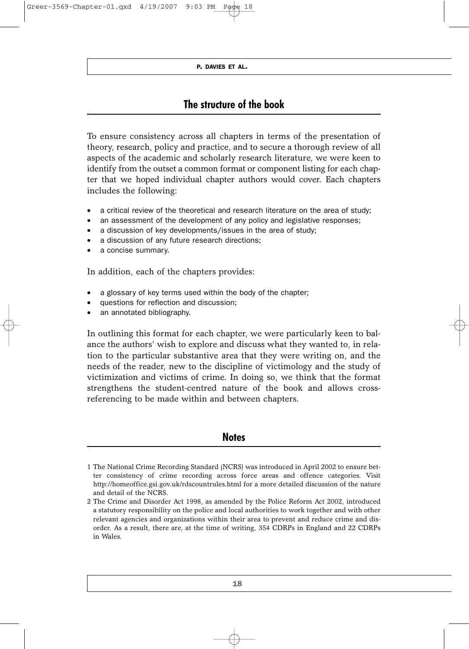## **The structure of the book**

To ensure consistency across all chapters in terms of the presentation of theory, research, policy and practice, and to secure a thorough review of all aspects of the academic and scholarly research literature, we were keen to identify from the outset a common format or component listing for each chapter that we hoped individual chapter authors would cover. Each chapters includes the following:

- a critical review of the theoretical and research literature on the area of study;
- an assessment of the development of any policy and legislative responses;
- a discussion of key developments/issues in the area of study;
- a discussion of any future research directions;
- a concise summary.

In addition, each of the chapters provides:

- a glossary of key terms used within the body of the chapter;
- questions for reflection and discussion;
- an annotated bibliography.

In outlining this format for each chapter, we were particularly keen to balance the authors' wish to explore and discuss what they wanted to, in relation to the particular substantive area that they were writing on, and the needs of the reader, new to the discipline of victimology and the study of victimization and victims of crime. In doing so, we think that the format strengthens the student-centred nature of the book and allows crossreferencing to be made within and between chapters.

#### **Notes**

<sup>1</sup> The National Crime Recording Standard (NCRS) was introduced in April 2002 to ensure better consistency of crime recording across force areas and offence categories. Visit http://homeoffice.gsi.gov.uk/rdscountrules.html for a more detailed discussion of the nature and detail of the NCRS.

<sup>2</sup> The Crime and Disorder Act 1998, as amended by the Police Reform Act 2002, introduced a statutory responsibility on the police and local authorities to work together and with other relevant agencies and organizations within their area to prevent and reduce crime and disorder. As a result, there are, at the time of writing, 354 CDRPs in England and 22 CDRPs in Wales.